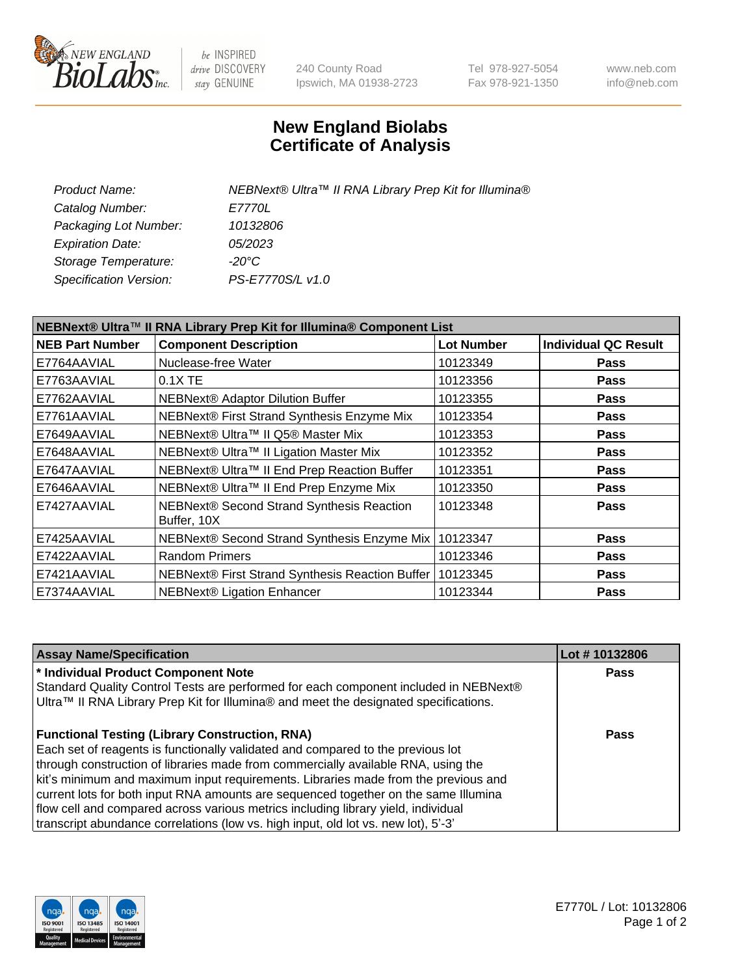

be INSPIRED drive DISCOVERY stay GENUINE

240 County Road Ipswich, MA 01938-2723 Tel 978-927-5054 Fax 978-921-1350 www.neb.com info@neb.com

## **New England Biolabs Certificate of Analysis**

| Product Name:           | NEBNext® Ultra™ II RNA Library Prep Kit for Illumina® |
|-------------------------|-------------------------------------------------------|
| Catalog Number:         | <i>E7770L</i>                                         |
| Packaging Lot Number:   | 10132806                                              |
| <b>Expiration Date:</b> | <i>05/2023</i>                                        |
| Storage Temperature:    | -20°C                                                 |
| Specification Version:  | PS-E7770S/L v1.0                                      |
|                         |                                                       |

| NEBNext® Ultra™ II RNA Library Prep Kit for Illumina® Component List |                                                            |                   |                             |  |  |
|----------------------------------------------------------------------|------------------------------------------------------------|-------------------|-----------------------------|--|--|
| <b>NEB Part Number</b>                                               | <b>Component Description</b>                               | <b>Lot Number</b> | <b>Individual QC Result</b> |  |  |
| E7764AAVIAL                                                          | Nuclease-free Water                                        | 10123349          | <b>Pass</b>                 |  |  |
| E7763AAVIAL                                                          | $0.1X$ TE                                                  | 10123356          | <b>Pass</b>                 |  |  |
| E7762AAVIAL                                                          | <b>NEBNext® Adaptor Dilution Buffer</b>                    | 10123355          | <b>Pass</b>                 |  |  |
| E7761AAVIAL                                                          | NEBNext® First Strand Synthesis Enzyme Mix                 | 10123354          | <b>Pass</b>                 |  |  |
| E7649AAVIAL                                                          | NEBNext® Ultra™ II Q5® Master Mix                          | 10123353          | <b>Pass</b>                 |  |  |
| E7648AAVIAL                                                          | NEBNext® Ultra™ II Ligation Master Mix                     | 10123352          | <b>Pass</b>                 |  |  |
| E7647AAVIAL                                                          | NEBNext® Ultra™ II End Prep Reaction Buffer                | 10123351          | <b>Pass</b>                 |  |  |
| E7646AAVIAL                                                          | NEBNext® Ultra™ II End Prep Enzyme Mix                     | 10123350          | <b>Pass</b>                 |  |  |
| E7427AAVIAL                                                          | NEBNext® Second Strand Synthesis Reaction<br>Buffer, 10X   | 10123348          | <b>Pass</b>                 |  |  |
| E7425AAVIAL                                                          | NEBNext® Second Strand Synthesis Enzyme Mix                | 10123347          | <b>Pass</b>                 |  |  |
| E7422AAVIAL                                                          | <b>Random Primers</b>                                      | 10123346          | <b>Pass</b>                 |  |  |
| E7421AAVIAL                                                          | NEBNext® First Strand Synthesis Reaction Buffer   10123345 |                   | <b>Pass</b>                 |  |  |
| E7374AAVIAL                                                          | NEBNext® Ligation Enhancer                                 | 10123344          | <b>Pass</b>                 |  |  |

| <b>Assay Name/Specification</b>                                                      | Lot #10132806 |
|--------------------------------------------------------------------------------------|---------------|
| * Individual Product Component Note                                                  | <b>Pass</b>   |
| Standard Quality Control Tests are performed for each component included in NEBNext® |               |
| Ultra™ II RNA Library Prep Kit for Illumina® and meet the designated specifications. |               |
| <b>Functional Testing (Library Construction, RNA)</b>                                | Pass          |
| Each set of reagents is functionally validated and compared to the previous lot      |               |
| through construction of libraries made from commercially available RNA, using the    |               |
| kit's minimum and maximum input requirements. Libraries made from the previous and   |               |
| current lots for both input RNA amounts are sequenced together on the same Illumina  |               |
| flow cell and compared across various metrics including library yield, individual    |               |
| transcript abundance correlations (low vs. high input, old lot vs. new lot), 5'-3'   |               |